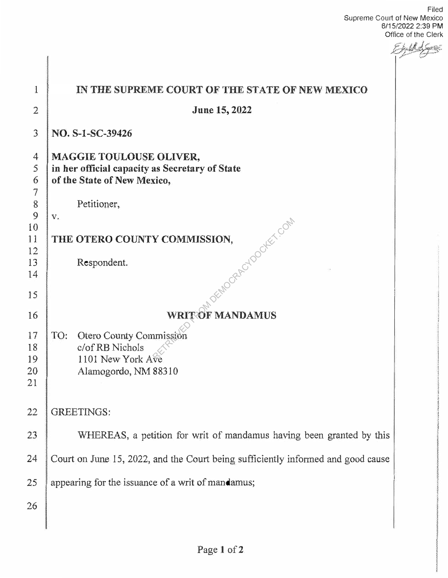Filed Supreme Court of New Mexico **6/15/2022 2:39 PM**  Office of the Clerk

f þykkskýngi

| 1                  | IN THE SUPREME COURT OF THE STATE OF NEW MEXICO                                  |  |
|--------------------|----------------------------------------------------------------------------------|--|
| $\overline{2}$     | June 15, 2022                                                                    |  |
| 3                  | NO. S-1-SC-39426                                                                 |  |
| 4                  | MAGGIE TOULOUSE OLIVER,                                                          |  |
| 5                  | in her official capacity as Secretary of State                                   |  |
| 6                  | of the State of New Mexico,                                                      |  |
| 7                  |                                                                                  |  |
| 8<br>$\mathcal{Q}$ | Petitioner,                                                                      |  |
| 10                 | V,                                                                               |  |
| 11                 | THE OTERO COUNTY COMMISSION,                                                     |  |
| 12                 |                                                                                  |  |
| 13                 | Respondent.                                                                      |  |
| 14                 | MOGRAPOCKE COM                                                                   |  |
| 15                 |                                                                                  |  |
| 16                 | WRIT OF MANDAMUS                                                                 |  |
|                    |                                                                                  |  |
| 17                 | TO:<br>Otero County Commission                                                   |  |
| 18<br>19           | c/of RB Nichols<br>1101 New York Ave                                             |  |
| 20                 | Alamogordo, NM 88310                                                             |  |
| 21                 |                                                                                  |  |
|                    |                                                                                  |  |
| 22                 | <b>GREETINGS:</b>                                                                |  |
| 23                 | WHEREAS, a petition for writ of mandamus having been granted by this             |  |
| 24                 | Court on June 15, 2022, and the Court being sufficiently informed and good cause |  |
| 25                 | appearing for the issuance of a writ of mandamus;                                |  |
| 26                 |                                                                                  |  |
|                    |                                                                                  |  |